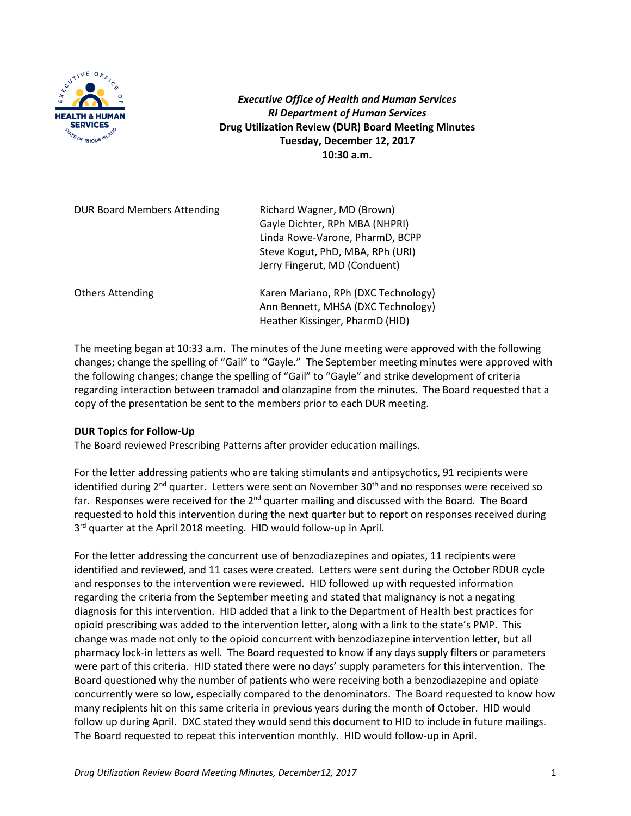

*Executive Office of Health and Human Services RI Department of Human Services* **Drug Utilization Review (DUR) Board Meeting Minutes Tuesday, December 12, 2017 10:30 a.m.**

| <b>DUR Board Members Attending</b> | Richard Wagner, MD (Brown)<br>Gayle Dichter, RPh MBA (NHPRI)<br>Linda Rowe-Varone, PharmD, BCPP<br>Steve Kogut, PhD, MBA, RPh (URI)<br>Jerry Fingerut, MD (Conduent) |
|------------------------------------|----------------------------------------------------------------------------------------------------------------------------------------------------------------------|
| <b>Others Attending</b>            | Karen Mariano, RPh (DXC Technology)<br>Ann Bennett, MHSA (DXC Technology)<br>Heather Kissinger, PharmD (HID)                                                         |

The meeting began at 10:33 a.m. The minutes of the June meeting were approved with the following changes; change the spelling of "Gail" to "Gayle." The September meeting minutes were approved with the following changes; change the spelling of "Gail" to "Gayle" and strike development of criteria regarding interaction between tramadol and olanzapine from the minutes. The Board requested that a copy of the presentation be sent to the members prior to each DUR meeting.

# **DUR Topics for Follow-Up**

The Board reviewed Prescribing Patterns after provider education mailings.

For the letter addressing patients who are taking stimulants and antipsychotics, 91 recipients were identified during 2<sup>nd</sup> quarter. Letters were sent on November 30<sup>th</sup> and no responses were received so far. Responses were received for the 2<sup>nd</sup> quarter mailing and discussed with the Board. The Board requested to hold this intervention during the next quarter but to report on responses received during 3<sup>rd</sup> quarter at the April 2018 meeting. HID would follow-up in April.

For the letter addressing the concurrent use of benzodiazepines and opiates, 11 recipients were identified and reviewed, and 11 cases were created. Letters were sent during the October RDUR cycle and responses to the intervention were reviewed. HID followed up with requested information regarding the criteria from the September meeting and stated that malignancy is not a negating diagnosis for this intervention. HID added that a link to the Department of Health best practices for opioid prescribing was added to the intervention letter, along with a link to the state's PMP. This change was made not only to the opioid concurrent with benzodiazepine intervention letter, but all pharmacy lock-in letters as well. The Board requested to know if any days supply filters or parameters were part of this criteria. HID stated there were no days' supply parameters for this intervention. The Board questioned why the number of patients who were receiving both a benzodiazepine and opiate concurrently were so low, especially compared to the denominators. The Board requested to know how many recipients hit on this same criteria in previous years during the month of October. HID would follow up during April. DXC stated they would send this document to HID to include in future mailings. The Board requested to repeat this intervention monthly. HID would follow-up in April.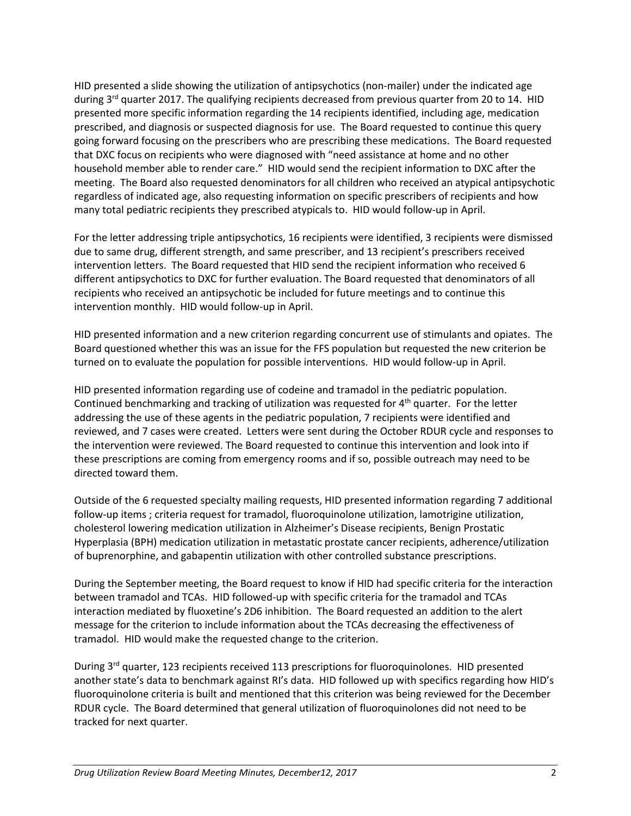HID presented a slide showing the utilization of antipsychotics (non-mailer) under the indicated age during  $3<sup>rd</sup>$  quarter 2017. The qualifying recipients decreased from previous quarter from 20 to 14. HID presented more specific information regarding the 14 recipients identified, including age, medication prescribed, and diagnosis or suspected diagnosis for use. The Board requested to continue this query going forward focusing on the prescribers who are prescribing these medications. The Board requested that DXC focus on recipients who were diagnosed with "need assistance at home and no other household member able to render care." HID would send the recipient information to DXC after the meeting. The Board also requested denominators for all children who received an atypical antipsychotic regardless of indicated age, also requesting information on specific prescribers of recipients and how many total pediatric recipients they prescribed atypicals to. HID would follow-up in April.

For the letter addressing triple antipsychotics, 16 recipients were identified, 3 recipients were dismissed due to same drug, different strength, and same prescriber, and 13 recipient's prescribers received intervention letters. The Board requested that HID send the recipient information who received 6 different antipsychotics to DXC for further evaluation. The Board requested that denominators of all recipients who received an antipsychotic be included for future meetings and to continue this intervention monthly. HID would follow-up in April.

HID presented information and a new criterion regarding concurrent use of stimulants and opiates. The Board questioned whether this was an issue for the FFS population but requested the new criterion be turned on to evaluate the population for possible interventions. HID would follow-up in April.

HID presented information regarding use of codeine and tramadol in the pediatric population. Continued benchmarking and tracking of utilization was requested for 4th quarter. For the letter addressing the use of these agents in the pediatric population, 7 recipients were identified and reviewed, and 7 cases were created. Letters were sent during the October RDUR cycle and responses to the intervention were reviewed. The Board requested to continue this intervention and look into if these prescriptions are coming from emergency rooms and if so, possible outreach may need to be directed toward them.

Outside of the 6 requested specialty mailing requests, HID presented information regarding 7 additional follow-up items ; criteria request for tramadol, fluoroquinolone utilization, lamotrigine utilization, cholesterol lowering medication utilization in Alzheimer's Disease recipients, Benign Prostatic Hyperplasia (BPH) medication utilization in metastatic prostate cancer recipients, adherence/utilization of buprenorphine, and gabapentin utilization with other controlled substance prescriptions.

During the September meeting, the Board request to know if HID had specific criteria for the interaction between tramadol and TCAs. HID followed-up with specific criteria for the tramadol and TCAs interaction mediated by fluoxetine's 2D6 inhibition. The Board requested an addition to the alert message for the criterion to include information about the TCAs decreasing the effectiveness of tramadol. HID would make the requested change to the criterion.

During 3<sup>rd</sup> quarter, 123 recipients received 113 prescriptions for fluoroquinolones. HID presented another state's data to benchmark against RI's data. HID followed up with specifics regarding how HID's fluoroquinolone criteria is built and mentioned that this criterion was being reviewed for the December RDUR cycle. The Board determined that general utilization of fluoroquinolones did not need to be tracked for next quarter.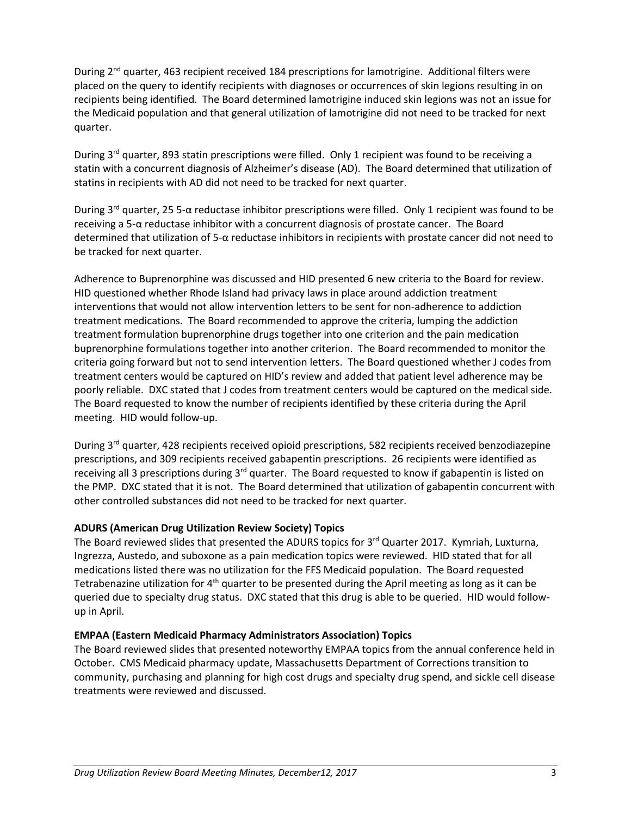During 2<sup>nd</sup> quarter, 463 recipient received 184 prescriptions for lamotrigine. Additional filters were placed on the query to identify recipients with diagnoses or occurrences of skin legions resulting in on recipients being identified. The Board determined lamotrigine induced skin legions was not an issue for the Medicaid population and that general utilization of lamotrigine did not need to be tracked for next quarter.

During  $3<sup>rd</sup>$  quarter, 893 statin prescriptions were filled. Only 1 recipient was found to be receiving a statin with a concurrent diagnosis of Alzheimer's disease (AD). The Board determined that utilization of statins in recipients with AD did not need to be tracked for next quarter.

During 3rd quarter, 25 5-α reductase inhibitor prescriptions were filled. Only 1 recipient was found to be receiving a 5-α reductase inhibitor with a concurrent diagnosis of prostate cancer. The Board determined that utilization of 5-α reductase inhibitors in recipients with prostate cancer did not need to be tracked for next quarter.

Adherence to Buprenorphine was discussed and HID presented 6 new criteria to the Board for review. HID questioned whether Rhode Island had privacy laws in place around addiction treatment interventions that would not allow intervention letters to be sent for non-adherence to addiction treatment medications. The Board recommended to approve the criteria, lumping the addiction treatment formulation buprenorphine drugs together into one criterion and the pain medication buprenorphine formulations together into another criterion. The Board recommended to monitor the criteria going forward but not to send intervention letters. The Board questioned whether J codes from treatment centers would be captured on HID's review and added that patient level adherence may be poorly reliable. DXC stated that J codes from treatment centers would be captured on the medical side. The Board requested to know the number of recipients identified by these criteria during the April meeting. HID would follow-up.

During 3<sup>rd</sup> quarter, 428 recipients received opioid prescriptions, 582 recipients received benzodiazepine prescriptions, and 309 recipients received gabapentin prescriptions. 26 recipients were identified as receiving all 3 prescriptions during  $3<sup>rd</sup>$  quarter. The Board requested to know if gabapentin is listed on the PMP. DXC stated that it is not. The Board determined that utilization of gabapentin concurrent with other controlled substances did not need to be tracked for next quarter.

# **ADURS (American Drug Utilization Review Society) Topics**

The Board reviewed slides that presented the ADURS topics for 3<sup>rd</sup> Quarter 2017. Kymriah, Luxturna, Ingrezza, Austedo, and suboxone as a pain medication topics were reviewed. HID stated that for all medications listed there was no utilization for the FFS Medicaid population. The Board requested Tetrabenazine utilization for  $4<sup>th</sup>$  quarter to be presented during the April meeting as long as it can be queried due to specialty drug status. DXC stated that this drug is able to be queried. HID would followup in April.

# **EMPAA (Eastern Medicaid Pharmacy Administrators Association) Topics**

The Board reviewed slides that presented noteworthy EMPAA topics from the annual conference held in October. CMS Medicaid pharmacy update, Massachusetts Department of Corrections transition to community, purchasing and planning for high cost drugs and specialty drug spend, and sickle cell disease treatments were reviewed and discussed.